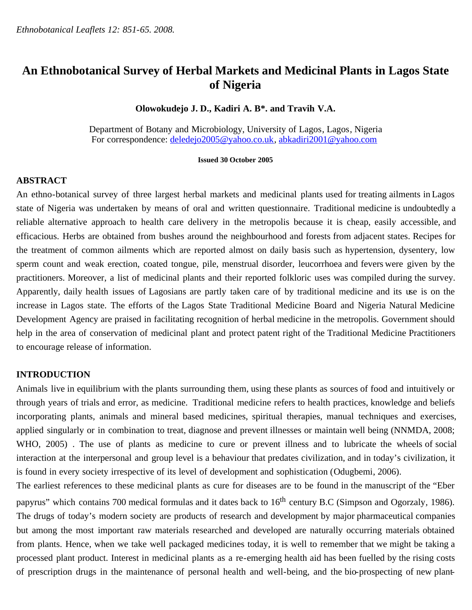# **An Ethnobotanical Survey of Herbal Markets and Medicinal Plants in Lagos State of Nigeria**

## **Olowokudejo J. D., Kadiri A. B\*. and Travih V.A.**

Department of Botany and Microbiology, University of Lagos, Lagos, Nigeria For correspondence: [deledejo2005@yahoo.co.uk,](mailto:deledejo2005@yahoo.co.uk) [abkadiri2001@yahoo.com](mailto:abkadiri2001@yahoo.com)

#### **Issued 30 October 2005**

## **ABSTRACT**

An ethno-botanical survey of three largest herbal markets and medicinal plants used for treating ailments in Lagos state of Nigeria was undertaken by means of oral and written questionnaire. Traditional medicine is undoubtedly a reliable alternative approach to health care delivery in the metropolis because it is cheap, easily accessible, and efficacious. Herbs are obtained from bushes around the neighbourhood and forests from adjacent states. Recipes for the treatment of common ailments which are reported almost on daily basis such as hypertension, dysentery, low sperm count and weak erection, coated tongue, pile, menstrual disorder, leucorrhoea and fevers were given by the practitioners. Moreover, a list of medicinal plants and their reported folkloric uses was compiled during the survey. Apparently, daily health issues of Lagosians are partly taken care of by traditional medicine and its use is on the increase in Lagos state. The efforts of the Lagos State Traditional Medicine Board and Nigeria Natural Medicine Development Agency are praised in facilitating recognition of herbal medicine in the metropolis. Government should help in the area of conservation of medicinal plant and protect patent right of the Traditional Medicine Practitioners to encourage release of information.

## **INTRODUCTION**

Animals live in equilibrium with the plants surrounding them, using these plants as sources of food and intuitively or through years of trials and error, as medicine. Traditional medicine refers to health practices, knowledge and beliefs incorporating plants, animals and mineral based medicines, spiritual therapies, manual techniques and exercises, applied singularly or in combination to treat, diagnose and prevent illnesses or maintain well being (NNMDA, 2008; WHO, 2005) . The use of plants as medicine to cure or prevent illness and to lubricate the wheels of social interaction at the interpersonal and group level is a behaviour that predates civilization, and in today's civilization, it is found in every society irrespective of its level of development and sophistication (Odugbemi, 2006).

The earliest references to these medicinal plants as cure for diseases are to be found in the manuscript of the "Eber papyrus" which contains 700 medical formulas and it dates back to 16<sup>th</sup> century B.C (Simpson and Ogorzaly, 1986). The drugs of today's modern society are products of research and development by major pharmaceutical companies but among the most important raw materials researched and developed are naturally occurring materials obtained from plants. Hence, when we take well packaged medicines today, it is well to remember that we might be taking a processed plant product. Interest in medicinal plants as a re-emerging health aid has been fuelled by the rising costs of prescription drugs in the maintenance of personal health and well-being, and the bio-prospecting of new plant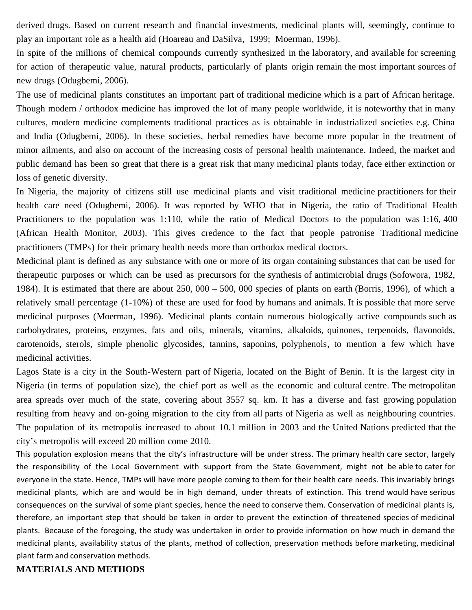derived drugs. Based on current research and financial investments, medicinal plants will, seemingly, continue to play an important role as a health aid (Hoareau and DaSilva, 1999; Moerman, 1996).

In spite of the millions of chemical compounds currently synthesized in the laboratory, and available for screening for action of therapeutic value, natural products, particularly of plants origin remain the most important sources of new drugs (Odugbemi, 2006).

The use of medicinal plants constitutes an important part of traditional medicine which is a part of African heritage. Though modern / orthodox medicine has improved the lot of many people worldwide, it is noteworthy that in many cultures, modern medicine complements traditional practices as is obtainable in industrialized societies e.g. China and India (Odugbemi, 2006). In these societies, herbal remedies have become more popular in the treatment of minor ailments, and also on account of the increasing costs of personal health maintenance. Indeed, the market and public demand has been so great that there is a great risk that many medicinal plants today, face either extinction or loss of genetic diversity.

In Nigeria, the majority of citizens still use medicinal plants and visit traditional medicine practitioners for their health care need (Odugbemi, 2006). It was reported by WHO that in Nigeria, the ratio of Traditional Health Practitioners to the population was 1:110, while the ratio of Medical Doctors to the population was 1:16, 400 (African Health Monitor, 2003). This gives credence to the fact that people patronise Traditional medicine practitioners (TMPs) for their primary health needs more than orthodox medical doctors.

Medicinal plant is defined as any substance with one or more of its organ containing substances that can be used for therapeutic purposes or which can be used as precursors for the synthesis of antimicrobial drugs (Sofowora, 1982, 1984). It is estimated that there are about 250, 000 – 500, 000 species of plants on earth (Borris, 1996), of which a relatively small percentage (1-10%) of these are used for food by humans and animals. It is possible that more serve medicinal purposes (Moerman, 1996). Medicinal plants contain numerous biologically active compounds such as carbohydrates, proteins, enzymes, fats and oils, minerals, vitamins, alkaloids, quinones, terpenoids, flavonoids, carotenoids, sterols, simple phenolic glycosides, tannins, saponins, polyphenols, to mention a few which have medicinal activities.

Lagos State is a city in the South-Western part of Nigeria, located on the Bight of Benin. It is the largest city in Nigeria (in terms of population size), the chief port as well as the economic and cultural centre. The metropolitan area spreads over much of the state, covering about 3557 sq. km. It has a diverse and fast growing population resulting from heavy and on-going migration to the city from all parts of Nigeria as well as neighbouring countries. The population of its metropolis increased to about 10.1 million in 2003 and the United Nations predicted that the city's metropolis will exceed 20 million come 2010.

This population explosion means that the city's infrastructure will be under stress. The primary health care sector, largely the responsibility of the Local Government with support from the State Government, might not be able to cater for everyone in the state. Hence, TMPs will have more people coming to them for their health care needs. This invariably brings medicinal plants, which are and would be in high demand, under threats of extinction. This trend would have serious consequences on the survival of some plant species, hence the need to conserve them. Conservation of medicinal plants is, therefore, an important step that should be taken in order to prevent the extinction of threatened species of medicinal plants. Because of the foregoing, the study was undertaken in order to provide information on how much in demand the medicinal plants, availability status of the plants, method of collection, preservation methods before marketing, medicinal plant farm and conservation methods.

## **MATERIALS AND METHODS**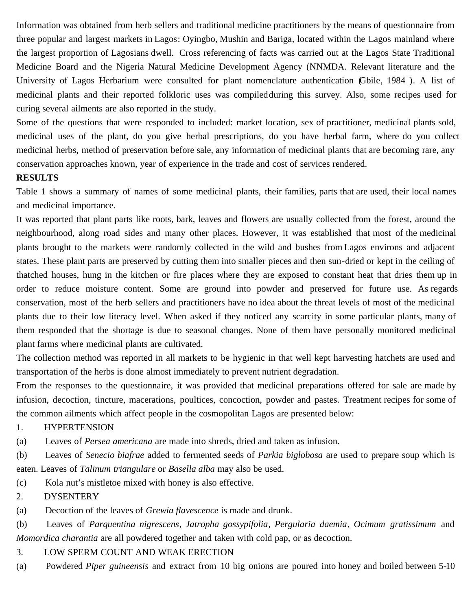Information was obtained from herb sellers and traditional medicine practitioners by the means of questionnaire from three popular and largest markets in Lagos: Oyingbo, Mushin and Bariga, located within the Lagos mainland where the largest proportion of Lagosians dwell. Cross referencing of facts was carried out at the Lagos State Traditional Medicine Board and the Nigeria Natural Medicine Development Agency (NNMDA. Relevant literature and the University of Lagos Herbarium were consulted for plant nomenclature authentication (Gbile, 1984 ). A list of medicinal plants and their reported folkloric uses was compiled during this survey. Also, some recipes used for curing several ailments are also reported in the study.

Some of the questions that were responded to included: market location, sex of practitioner, medicinal plants sold, medicinal uses of the plant, do you give herbal prescriptions, do you have herbal farm, where do you collect medicinal herbs, method of preservation before sale, any information of medicinal plants that are becoming rare, any conservation approaches known, year of experience in the trade and cost of services rendered.

# **RESULTS**

Table 1 shows a summary of names of some medicinal plants, their families, parts that are used, their local names and medicinal importance.

It was reported that plant parts like roots, bark, leaves and flowers are usually collected from the forest, around the neighbourhood, along road sides and many other places. However, it was established that most of the medicinal plants brought to the markets were randomly collected in the wild and bushes from Lagos environs and adjacent states. These plant parts are preserved by cutting them into smaller pieces and then sun-dried or kept in the ceiling of thatched houses, hung in the kitchen or fire places where they are exposed to constant heat that dries them up in order to reduce moisture content. Some are ground into powder and preserved for future use. As regards conservation, most of the herb sellers and practitioners have no idea about the threat levels of most of the medicinal plants due to their low literacy level. When asked if they noticed any scarcity in some particular plants, many of them responded that the shortage is due to seasonal changes. None of them have personally monitored medicinal plant farms where medicinal plants are cultivated.

The collection method was reported in all markets to be hygienic in that well kept harvesting hatchets are used and transportation of the herbs is done almost immediately to prevent nutrient degradation.

From the responses to the questionnaire, it was provided that medicinal preparations offered for sale are made by infusion, decoction, tincture, macerations, poultices, concoction, powder and pastes. Treatment recipes for some of the common ailments which affect people in the cosmopolitan Lagos are presented below:

## 1. HYPERTENSION

(a) Leaves of *Persea americana* are made into shreds, dried and taken as infusion.

(b) Leaves of *Senecio biafrae* added to fermented seeds of *Parkia biglobosa* are used to prepare soup which is eaten. Leaves of *Talinum triangulare* or *Basella alba* may also be used.

(c) Kola nut's mistletoe mixed with honey is also effective.

2. DYSENTERY

(a) Decoction of the leaves of *Grewia flavescence* is made and drunk.

(b) Leaves of *Parquentina nigrescens*, *Jatropha gossypifolia*, *Pergularia daemia*, *Ocimum gratissimum* and *Momordica charantia* are all powdered together and taken with cold pap, or as decoction.

# 3. LOW SPERM COUNT AND WEAK ERECTION

(a) Powdered *Piper guineensis* and extract from 10 big onions are poured into honey and boiled between 5-10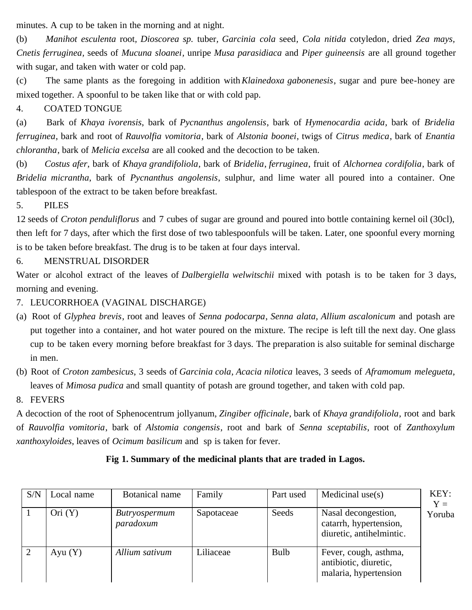minutes. A cup to be taken in the morning and at night.

(b) *Manihot esculenta* root*, Dioscorea sp.* tuber*, Garcinia cola* seed*, Cola nitida* cotyledon*,* dried *Zea mays, Cnetis ferruginea,* seeds of *Mucuna sloanei,* unripe *Musa parasidiaca* and *Piper guineensis* are all ground together with sugar, and taken with water or cold pap.

(c) The same plants as the foregoing in addition with *Klainedoxa gabonenesis*, sugar and pure bee-honey are mixed together. A spoonful to be taken like that or with cold pap.

4. COATED TONGUE

(a) Bark of *Khaya ivorensis*, bark of *Pycnanthus angolensis*, bark of *Hymenocardia acida*, bark of *Bridelia ferruginea*, bark and root of *Rauvolfia vomitoria*, bark of *Alstonia boonei*, twigs of *Citrus medica*, bark of *Enantia chlorantha*, bark of *Melicia excelsa* are all cooked and the decoction to be taken.

(b) *Costus afer*, bark of *Khaya grandifoliola*, bark of *Bridelia*, *ferruginea*, fruit of *Alchornea cordifolia*, bark of *Bridelia micrantha*, bark of *Pycnanthus angolensis*, sulphur, and lime water all poured into a container. One tablespoon of the extract to be taken before breakfast.

5. PILES

12 seeds of *Croton penduliflorus* and 7 cubes of sugar are ground and poured into bottle containing kernel oil (30cl), then left for 7 days, after which the first dose of two tablespoonfuls will be taken. Later, one spoonful every morning is to be taken before breakfast. The drug is to be taken at four days interval.

# 6. MENSTRUAL DISORDER

Water or alcohol extract of the leaves of *Dalbergiella welwitschii* mixed with potash is to be taken for 3 days, morning and evening.

7. LEUCORRHOEA (VAGINAL DISCHARGE)

- (a) Root of *Glyphea brevis*, root and leaves of *Senna podocarpa*, *Senna alata*, *Allium ascalonicum* and potash are put together into a container, and hot water poured on the mixture. The recipe is left till the next day. One glass cup to be taken every morning before breakfast for 3 days. The preparation is also suitable for seminal discharge in men.
- (b) Root of *Croton zambesicus*, 3 seeds of *Garcinia cola*, *Acacia nilotica* leaves, 3 seeds of *Aframomum melegueta*, leaves of *Mimosa pudica* and small quantity of potash are ground together, and taken with cold pap.
- 8. FEVERS

A decoction of the root of Sphenocentrum jollyanum, *Zingiber officinale*, bark of *Khaya grandifoliola*, root and bark of *Rauvolfia vomitoria*, bark of *Alstomia congensis*, root and bark of *Senna sceptabilis*, root of *Zanthoxylum xanthoxyloides*, leaves of *Ocimum basilicum* and sp is taken for fever.

# **Fig 1. Summary of the medicinal plants that are traded in Lagos.**

| S/N | Local name | Botanical name                    | Family     | Part used   | Medicinal $use(s)$                                                        | KEY:<br>$Y =$ |
|-----|------------|-----------------------------------|------------|-------------|---------------------------------------------------------------------------|---------------|
|     | Ori(Y)     | <i>Butryospermum</i><br>paradoxum | Sapotaceae | Seeds       | Nasal decongestion,<br>catarrh, hypertension,<br>diuretic, antihelmintic. | Yoruba        |
|     | Ayu $(Y)$  | Allium sativum                    | Liliaceae  | <b>Bulb</b> | Fever, cough, asthma,<br>antibiotic, diuretic,<br>malaria, hypertension   |               |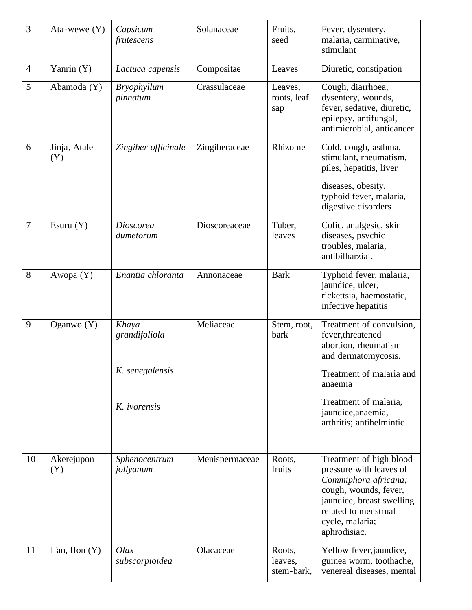| 3              | Ata-wewe $(Y)$      | Capsicum<br>frutescens                    | Solanaceae     | Fruits,<br>seed                 | Fever, dysentery,<br>malaria, carminative,<br>stimulant                                                                                                                                     |
|----------------|---------------------|-------------------------------------------|----------------|---------------------------------|---------------------------------------------------------------------------------------------------------------------------------------------------------------------------------------------|
| $\overline{4}$ | Yanrin (Y)          | Lactuca capensis                          | Compositae     | Leaves                          | Diuretic, constipation                                                                                                                                                                      |
| 5              | Abamoda (Y)         | <b>Bryophyllum</b><br>pinnatum            | Crassulaceae   | Leaves,<br>roots, leaf<br>sap   | Cough, diarrhoea,<br>dysentery, wounds,<br>fever, sedative, diuretic,<br>epilepsy, antifungal,<br>antimicrobial, anticancer                                                                 |
| 6              | Jinja, Atale<br>(Y) | Zingiber officinale                       | Zingiberaceae  | Rhizome                         | Cold, cough, asthma,<br>stimulant, rheumatism,<br>piles, hepatitis, liver<br>diseases, obesity,<br>typhoid fever, malaria,<br>digestive disorders                                           |
| $\overline{7}$ | Esuru $(Y)$         | <b>Dioscorea</b><br>dumetorum             | Dioscoreaceae  | Tuber,<br>leaves                | Colic, analgesic, skin<br>diseases, psychic<br>troubles, malaria,<br>antibilharzial.                                                                                                        |
| 8              | Awopa (Y)           | Enantia chloranta                         | Annonaceae     | <b>Bark</b>                     | Typhoid fever, malaria,<br>jaundice, ulcer,<br>rickettsia, haemostatic,<br>infective hepatitis                                                                                              |
| 9              | Oganwo $(Y)$        | Khaya<br>grandifoliola<br>K. senegalensis | Meliaceae      | Stem, root,<br>bark             | Treatment of convulsion,<br>fever, threatened<br>abortion, rheumatism<br>and dermatomycosis.                                                                                                |
|                |                     |                                           |                |                                 | Treatment of malaria and<br>anaemia                                                                                                                                                         |
|                |                     | K. ivorensis                              |                |                                 | Treatment of malaria,<br>jaundice, anaemia,<br>arthritis; antihelmintic                                                                                                                     |
| 10             | Akerejupon<br>(Y)   | Sphenocentrum<br>jollyanum                | Menispermaceae | Roots,<br>fruits                | Treatment of high blood<br>pressure with leaves of<br>Commiphora africana;<br>cough, wounds, fever,<br>jaundice, breast swelling<br>related to menstrual<br>cycle, malaria;<br>aphrodisiac. |
| 11             | Ifan, Ifon $(Y)$    | Olax<br>subscorpioidea                    | Olacaceae      | Roots,<br>leaves,<br>stem-bark, | Yellow fever, jaundice,<br>guinea worm, toothache,<br>venereal diseases, mental                                                                                                             |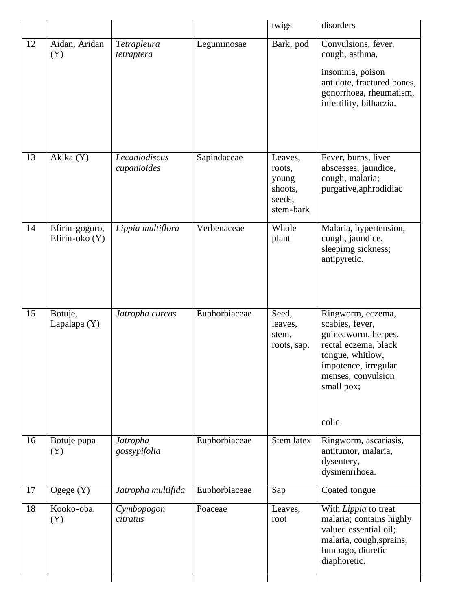|    |                                    |                              |               | twigs                                                        | disorders                                                                                                                                                           |
|----|------------------------------------|------------------------------|---------------|--------------------------------------------------------------|---------------------------------------------------------------------------------------------------------------------------------------------------------------------|
| 12 | Aidan, Aridan<br>(Y)               | Tetrapleura<br>tetraptera    | Leguminosae   | Bark, pod                                                    | Convulsions, fever,<br>cough, asthma,<br>insomnia, poison<br>antidote, fractured bones,<br>gonorrhoea, rheumatism,<br>infertility, bilharzia.                       |
| 13 | Akika (Y)                          | Lecaniodiscus<br>cupanioides | Sapindaceae   | Leaves,<br>roots,<br>young<br>shoots,<br>seeds,<br>stem-bark | Fever, burns, liver<br>abscesses, jaundice,<br>cough, malaria;<br>purgative, aphrodidiac                                                                            |
| 14 | Efirin-gogoro,<br>Efirin-oko $(Y)$ | Lippia multiflora            | Verbenaceae   | Whole<br>plant                                               | Malaria, hypertension,<br>cough, jaundice,<br>sleepimg sickness;<br>antipyretic.                                                                                    |
| 15 | Botuje,<br>Lapalapa $(Y)$          | Jatropha curcas              | Euphorbiaceae | Seed,<br>leaves,<br>stem,<br>roots, sap.                     | Ringworm, eczema,<br>scabies, fever,<br>guineaworm, herpes,<br>rectal eczema, black<br>tongue, whitlow,<br>impotence, irregular<br>menses, convulsion<br>small pox; |
| 16 | Botuje pupa<br>(Y)                 | Jatropha<br>gossypifolia     | Euphorbiaceae | Stem latex                                                   | colic<br>Ringworm, ascariasis,<br>antitumor, malaria,                                                                                                               |
| 17 | Ogege $(Y)$                        | Jatropha multifida           | Euphorbiaceae | Sap                                                          | dysentery,<br>dysmenrrhoea.<br>Coated tongue                                                                                                                        |
| 18 | Kooko-oba.<br>(Y)                  | Cymbopogon<br>citratus       | Poaceae       | Leaves,<br>root                                              | With Lippia to treat<br>malaria; contains highly<br>valued essential oil;<br>malaria, cough, sprains,<br>lumbago, diuretic<br>diaphoretic.                          |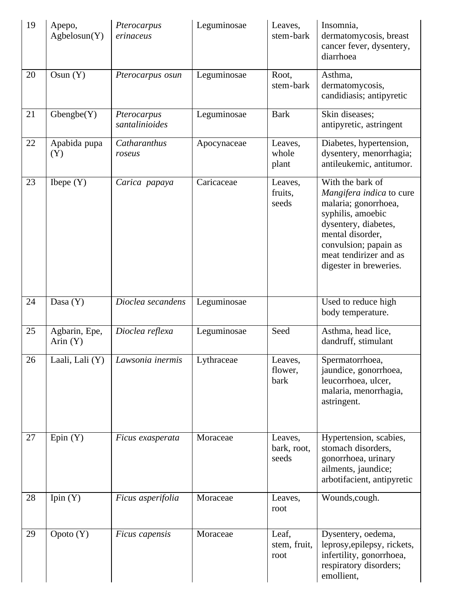| 19 | Apepo,<br>Agbelosun(Y)      | Pterocarpus<br>erinaceus      | Leguminosae | Leaves,<br>stem-bark            | Insomnia,<br>dermatomycosis, breast<br>cancer fever, dysentery,<br>diarrhoea                                                                                                                                       |
|----|-----------------------------|-------------------------------|-------------|---------------------------------|--------------------------------------------------------------------------------------------------------------------------------------------------------------------------------------------------------------------|
| 20 | Osun $(Y)$                  | Pterocarpus osun              | Leguminosae | Root,<br>stem-bark              | Asthma,<br>dermatomycosis,<br>candidiasis; antipyretic                                                                                                                                                             |
| 21 | Gbengbe(Y)                  | Pterocarpus<br>santalinioides | Leguminosae | <b>Bark</b>                     | Skin diseases;<br>antipyretic, astringent                                                                                                                                                                          |
| 22 | Apabida pupa<br>(Y)         | Catharanthus<br>roseus        | Apocynaceae | Leaves,<br>whole<br>plant       | Diabetes, hypertension,<br>dysentery, menorrhagia;<br>antileukemic, antitumor.                                                                                                                                     |
| 23 | Ibepe $(Y)$                 | Carica papaya                 | Caricaceae  | Leaves,<br>fruits,<br>seeds     | With the bark of<br>Mangifera indica to cure<br>malaria; gonorrhoea,<br>syphilis, amoebic<br>dysentery, diabetes,<br>mental disorder,<br>convulsion; papain as<br>meat tendirizer and as<br>digester in breweries. |
| 24 | Dasa $(Y)$                  | Dioclea secandens             | Leguminosae |                                 | Used to reduce high<br>body temperature.                                                                                                                                                                           |
| 25 | Agbarin, Epe,<br>Arin $(Y)$ | Dioclea reflexa               | Leguminosae | Seed                            | Asthma, head lice,<br>dandruff, stimulant                                                                                                                                                                          |
| 26 | Laali, Lali (Y)             | Lawsonia inermis              | Lythraceae  | Leaves,<br>flower,<br>bark      | Spermatorrhoea,<br>jaundice, gonorrhoea,<br>leucorrhoea, ulcer,<br>malaria, menorrhagia,<br>astringent.                                                                                                            |
| 27 | Epin $(Y)$                  | Ficus exasperata              | Moraceae    | Leaves,<br>bark, root,<br>seeds | Hypertension, scabies,<br>stomach disorders,<br>gonorrhoea, urinary<br>ailments, jaundice;<br>arbotifacient, antipyretic                                                                                           |
| 28 | Ipin $(Y)$                  | Ficus asperifolia             | Moraceae    | Leaves,<br>root                 | Wounds, cough.                                                                                                                                                                                                     |
| 29 | Opoto(Y)                    | <i>Ficus capensis</i>         | Moraceae    | Leaf,<br>stem, fruit,<br>root   | Dysentery, oedema,<br>leprosy, epilepsy, rickets,<br>infertility, gonorrhoea,<br>respiratory disorders;<br>emollient,                                                                                              |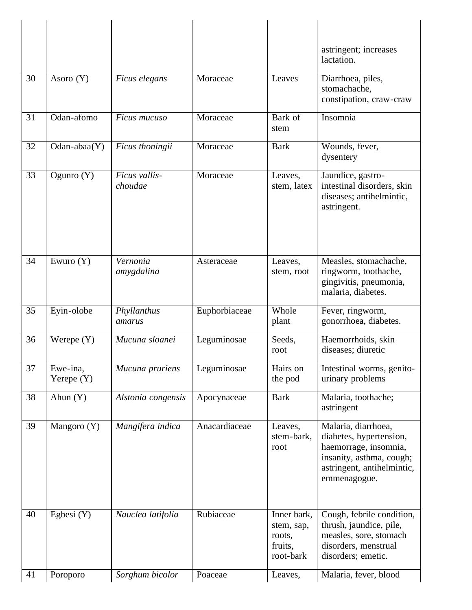|    |                          |                          |               |                                                             | astringent; increases<br>lactation.                                                                                                               |
|----|--------------------------|--------------------------|---------------|-------------------------------------------------------------|---------------------------------------------------------------------------------------------------------------------------------------------------|
| 30 | Asoro $(Y)$              | Ficus elegans            | Moraceae      | Leaves                                                      | Diarrhoea, piles,<br>stomachache,<br>constipation, craw-craw                                                                                      |
| 31 | Odan-afomo               | Ficus mucuso             | Moraceae      | Bark of<br>stem                                             | Insomnia                                                                                                                                          |
| 32 | $Odan - abaa(Y)$         | Ficus thoningii          | Moraceae      | <b>Bark</b>                                                 | Wounds, fever,<br>dysentery                                                                                                                       |
| 33 | Ogunro $(Y)$             | Ficus vallis-<br>choudae | Moraceae      | Leaves,<br>stem, latex                                      | Jaundice, gastro-<br>intestinal disorders, skin<br>diseases; antihelmintic,<br>astringent.                                                        |
| 34 | Ewuro $(Y)$              | Vernonia<br>amygdalina   | Asteraceae    | Leaves,<br>stem, root                                       | Measles, stomachache,<br>ringworm, toothache,<br>gingivitis, pneumonia,<br>malaria, diabetes.                                                     |
| 35 | Eyin-olobe               | Phyllanthus<br>amarus    | Euphorbiaceae | Whole<br>plant                                              | Fever, ringworm,<br>gonorrhoea, diabetes.                                                                                                         |
| 36 | Werepe $(Y)$             | Mucuna sloanei           | Leguminosae   | Seeds,<br>root                                              | Haemorrhoids, skin<br>diseases; diuretic                                                                                                          |
| 37 | Ewe-ina,<br>Yerepe $(Y)$ | Mucuna pruriens          | Leguminosae   | Hairs on<br>the pod                                         | Intestinal worms, genito-<br>urinary problems                                                                                                     |
| 38 | Ahun $(Y)$               | Alstonia congensis       | Apocynaceae   | <b>Bark</b>                                                 | Malaria, toothache;<br>astringent                                                                                                                 |
| 39 | Mangoro $(Y)$            | Mangifera indica         | Anacardiaceae | Leaves,<br>stem-bark,<br>root                               | Malaria, diarrhoea,<br>diabetes, hypertension,<br>haemorrage, insomnia,<br>insanity, asthma, cough;<br>astringent, antihelmintic,<br>emmenagogue. |
| 40 | Egbesi $(Y)$             | Nauclea latifolia        | Rubiaceae     | Inner bark,<br>stem, sap,<br>roots,<br>fruits,<br>root-bark | Cough, febrile condition,<br>thrush, jaundice, pile,<br>measles, sore, stomach<br>disorders, menstrual<br>disorders; emetic.                      |
| 41 | Poroporo                 | Sorghum bicolor          | Poaceae       | Leaves,                                                     | Malaria, fever, blood                                                                                                                             |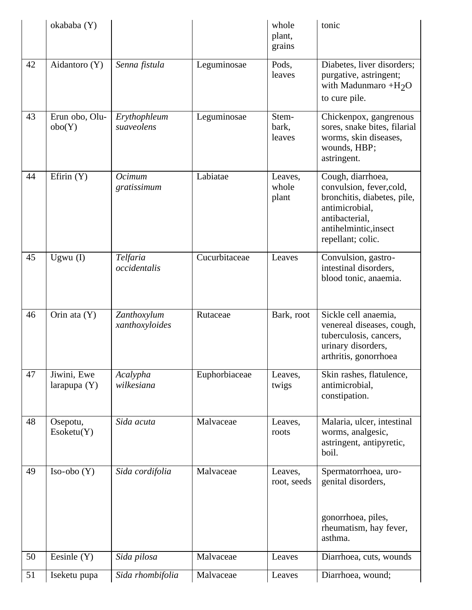|    | okababa (Y)                   |                               |               | whole<br>plant,<br>grains | tonic                                                                                                                                                          |
|----|-------------------------------|-------------------------------|---------------|---------------------------|----------------------------------------------------------------------------------------------------------------------------------------------------------------|
| 42 | Aidantoro (Y)                 | Senna fistula                 | Leguminosae   | Pods,<br>leaves           | Diabetes, liver disorders;<br>purgative, astringent;<br>with Madunmaro $+H_2O$<br>to cure pile.                                                                |
| 43 | Erun obo, Olu-<br>obo(Y)      | Erythophleum<br>suaveolens    | Leguminosae   | Stem-<br>bark,<br>leaves  | Chickenpox, gangrenous<br>sores, snake bites, filarial<br>worms, skin diseases,<br>wounds, HBP;<br>astringent.                                                 |
| 44 | Efirin $(Y)$                  | Ocimum<br>gratissimum         | Labiatae      | Leaves,<br>whole<br>plant | Cough, diarrhoea,<br>convulsion, fever, cold,<br>bronchitis, diabetes, pile,<br>antimicrobial,<br>antibacterial,<br>antihelmintic, insect<br>repellant; colic. |
| 45 | Ugwu $(I)$                    | Telfaria<br>occidentalis      | Cucurbitaceae | Leaves                    | Convulsion, gastro-<br>intestinal disorders,<br>blood tonic, anaemia.                                                                                          |
| 46 | Orin ata (Y)                  | Zanthoxylum<br>xanthoxyloides | Rutaceae      | Bark, root                | Sickle cell anaemia,<br>venereal diseases, cough,<br>tuberculosis, cancers,<br>urinary disorders,<br>arthritis, gonorrhoea                                     |
| 47 | Jiwini, Ewe<br>larapupa $(Y)$ | Acalypha<br>wilkesiana        | Euphorbiaceae | Leaves.<br>twigs          | Skin rashes, flatulence,<br>antimicrobial,<br>constipation.                                                                                                    |
| 48 | Osepotu,<br>Esoketu(Y)        | Sida acuta                    | Malvaceae     | Leaves,<br>roots          | Malaria, ulcer, intestinal<br>worms, analgesic,<br>astringent, antipyretic,<br>boil.                                                                           |
| 49 | $Iso-obo(Y)$                  | Sida cordifolia               | Malvaceae     | Leaves,<br>root, seeds    | Spermatorrhoea, uro-<br>genital disorders,<br>gonorrhoea, piles,<br>rheumatism, hay fever,<br>asthma.                                                          |
| 50 | Eesinle $(Y)$                 | Sida pilosa                   | Malvaceae     | Leaves                    | Diarrhoea, cuts, wounds                                                                                                                                        |
| 51 | Iseketu pupa                  | Sida rhombifolia              | Malvaceae     | Leaves                    | Diarrhoea, wound;                                                                                                                                              |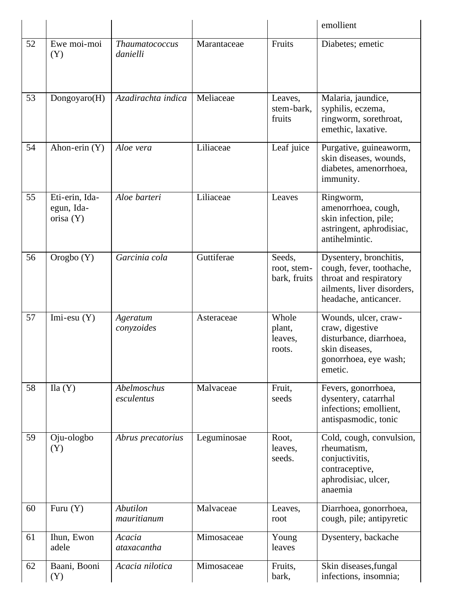|    |                                           |                                |             |                                       | emollient                                                                                                                           |
|----|-------------------------------------------|--------------------------------|-------------|---------------------------------------|-------------------------------------------------------------------------------------------------------------------------------------|
| 52 | Ewe moi-moi<br>(Y)                        | Thaumatococcus<br>danielli     | Marantaceae | Fruits                                | Diabetes; emetic                                                                                                                    |
| 53 | Dongoyaro(H)                              | Azadirachta indica             | Meliaceae   | Leaves,<br>stem-bark,<br>fruits       | Malaria, jaundice,<br>syphilis, eczema,<br>ringworm, sorethroat,<br>emethic, laxative.                                              |
| 54 | Ahon-erin (Y)                             | Aloe vera                      | Liliaceae   | Leaf juice                            | Purgative, guineaworm,<br>skin diseases, wounds,<br>diabetes, amenorrhoea,<br>immunity.                                             |
| 55 | Eti-erin, Ida-<br>egun, Ida-<br>orisa (Y) | Aloe barteri                   | Liliaceae   | Leaves                                | Ringworm,<br>amenorrhoea, cough,<br>skin infection, pile;<br>astringent, aphrodisiac,<br>antihelmintic.                             |
| 56 | Orogbo (Y)                                | Garcinia cola                  | Guttiferae  | Seeds,<br>root, stem-<br>bark, fruits | Dysentery, bronchitis,<br>cough, fever, toothache,<br>throat and respiratory<br>ailments, liver disorders,<br>headache, anticancer. |
| 57 | Imi-esu $(Y)$                             | Ageratum<br>conyzoides         | Asteraceae  | Whole<br>plant,<br>leaves,<br>roots.  | Wounds, ulcer, craw-<br>craw, digestive<br>disturbance, diarrhoea,<br>skin diseases,<br>gonorrhoea, eye wash;<br>emetic.            |
| 58 | Ila(Y)                                    | Abelmoschus<br>esculentus      | Malvaceae   | Fruit,<br>seeds                       | Fevers, gonorrhoea,<br>dysentery, catarrhal<br>infections; emollient,<br>antispasmodic, tonic                                       |
| 59 | Oju-ologbo<br>(Y)                         | Abrus precatorius              | Leguminosae | Root,<br>leaves,<br>seeds.            | Cold, cough, convulsion,<br>rheumatism.<br>conjuctivitis,<br>contraceptive,<br>aphrodisiac, ulcer,<br>anaemia                       |
| 60 | Furu $(Y)$                                | <b>Abutilon</b><br>mauritianum | Malvaceae   | Leaves,<br>root                       | Diarrhoea, gonorrhoea,<br>cough, pile; antipyretic                                                                                  |
| 61 | Ihun, Ewon<br>adele                       | Acacia<br>ataxacantha          | Mimosaceae  | Young<br>leaves                       | Dysentery, backache                                                                                                                 |
| 62 | Baani, Booni<br>(Y)                       | Acacia nilotica                | Mimosaceae  | Fruits,<br>bark,                      | Skin diseases, fungal<br>infections, insomnia;                                                                                      |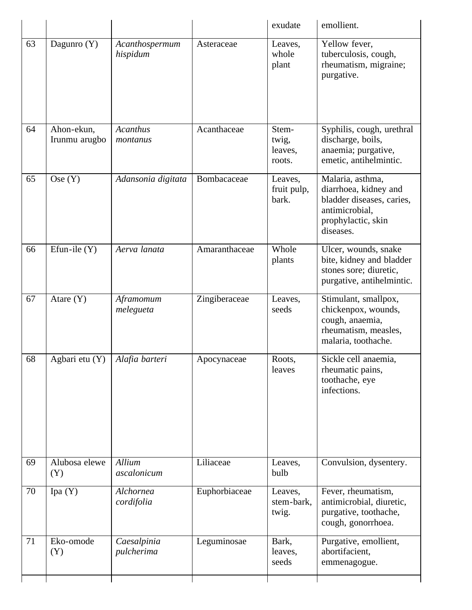|    |                             |                             |               | exudate                             | emollient.                                                                                                                  |
|----|-----------------------------|-----------------------------|---------------|-------------------------------------|-----------------------------------------------------------------------------------------------------------------------------|
| 63 | Dagunro (Y)                 | Acanthospermum<br>hispidum  | Asteraceae    | Leaves,<br>whole<br>plant           | Yellow fever,<br>tuberculosis, cough,<br>rheumatism, migraine;<br>purgative.                                                |
| 64 | Ahon-ekun,<br>Irunmu arugbo | <b>Acanthus</b><br>montanus | Acanthaceae   | Stem-<br>twig,<br>leaves,<br>roots. | Syphilis, cough, urethral<br>discharge, boils,<br>anaemia; purgative,<br>emetic, antihelmintic.                             |
| 65 | Ose(Y)                      | Adansonia digitata          | Bombacaceae   | Leaves,<br>fruit pulp,<br>bark.     | Malaria, asthma,<br>diarrhoea, kidney and<br>bladder diseases, caries,<br>antimicrobial,<br>prophylactic, skin<br>diseases. |
| 66 | Efun-ile $(Y)$              | Aerva lanata                | Amaranthaceae | Whole<br>plants                     | Ulcer, wounds, snake<br>bite, kidney and bladder<br>stones sore; diuretic,<br>purgative, antihelmintic.                     |
| 67 | Atare $(Y)$                 | Aframomum<br>melegueta      | Zingiberaceae | Leaves,<br>seeds                    | Stimulant, smallpox,<br>chickenpox, wounds,<br>cough, anaemia,<br>rheumatism, measles,<br>malaria, toothache.               |
| 68 | Agbari etu (Y)              | Alafia barteri              | Apocynaceae   | Roots,<br>leaves                    | Sickle cell anaemia,<br>rheumatic pains,<br>toothache, eye<br>infections.                                                   |
| 69 | Alubosa elewe<br>(Y)        | Allium<br>ascalonicum       | Liliaceae     | Leaves,<br>bulb                     | Convulsion, dysentery.                                                                                                      |
| 70 | Ipa $(Y)$                   | Alchornea<br>cordifolia     | Euphorbiaceae | Leaves,<br>stem-bark,<br>twig.      | Fever, rheumatism,<br>antimicrobial, diuretic,<br>purgative, toothache,<br>cough, gonorrhoea.                               |
| 71 | Eko-omode<br>(Y)            | Caesalpinia<br>pulcherima   | Leguminosae   | Bark,<br>leaves,<br>seeds           | Purgative, emollient,<br>abortifacient,<br>emmenagogue.                                                                     |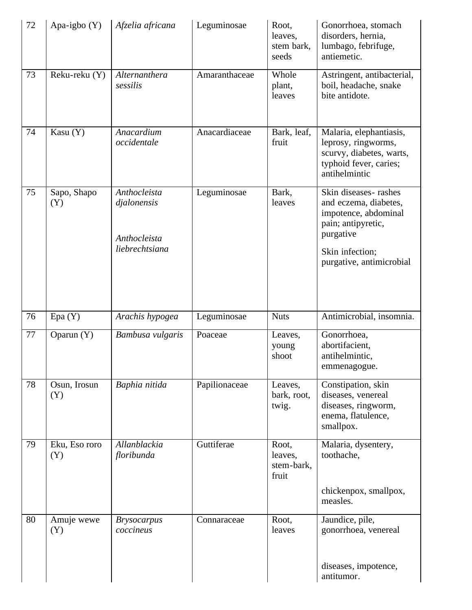| 72 | Apa-igbo $(Y)$       | Afzelia africana                                              | Leguminosae   | Root,<br>leaves,<br>stem bark,<br>seeds | Gonorrhoea, stomach<br>disorders, hernia,<br>lumbago, febrifuge,<br>antiemetic.                                                                         |
|----|----------------------|---------------------------------------------------------------|---------------|-----------------------------------------|---------------------------------------------------------------------------------------------------------------------------------------------------------|
| 73 | Reku-reku (Y)        | Alternanthera<br>sessilis                                     | Amaranthaceae | Whole<br>plant,<br>leaves               | Astringent, antibacterial,<br>boil, headache, snake<br>bite antidote.                                                                                   |
| 74 | Kasu (Y)             | Anacardium<br>occidentale                                     | Anacardiaceae | Bark, leaf,<br>fruit                    | Malaria, elephantiasis,<br>leprosy, ringworms,<br>scurvy, diabetes, warts,<br>typhoid fever, caries;<br>antihelmintic                                   |
| 75 | Sapo, Shapo<br>(Y)   | Anthocleista<br>djalonensis<br>Anthocleista<br>liebrechtsiana | Leguminosae   | Bark,<br>leaves                         | Skin diseases-rashes<br>and eczema, diabetes,<br>impotence, abdominal<br>pain; antipyretic,<br>purgative<br>Skin infection;<br>purgative, antimicrobial |
| 76 | Epa(Y)               | Arachis hypogea                                               | Leguminosae   | <b>Nuts</b>                             | Antimicrobial, insomnia.                                                                                                                                |
| 77 | Oparun (Y)           | Bambusa vulgaris                                              | Poaceae       | Leaves,<br>young<br>shoot               | Gonorrhoea,<br>abortifacient,<br>antihelmintic,<br>emmenagogue.                                                                                         |
| 78 | Osun, Irosun<br>(Y)  | Baphia nitida                                                 | Papilionaceae | Leaves,<br>bark, root,<br>twig.         | Constipation, skin<br>diseases, venereal<br>diseases, ringworm,<br>enema, flatulence,<br>smallpox.                                                      |
| 79 | Eku, Eso roro<br>(Y) | Allanblackia<br>floribunda                                    | Guttiferae    | Root,<br>leaves,<br>stem-bark,<br>fruit | Malaria, dysentery,<br>toothache,<br>chickenpox, smallpox,<br>measles.                                                                                  |
| 80 | Amuje wewe<br>(Y)    | <b>Brysocarpus</b><br>coccineus                               | Connaraceae   | Root,<br>leaves                         | Jaundice, pile,<br>gonorrhoea, venereal<br>diseases, impotence,<br>antitumor.                                                                           |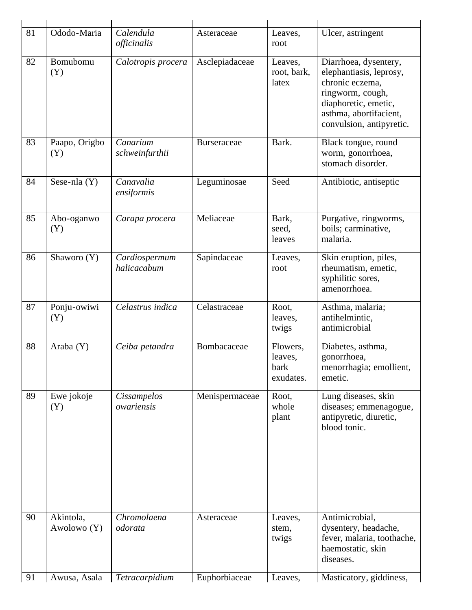| 81 | Ododo-Maria              | Calendula<br>officinalis     | Asteraceae         | Leaves,<br>root                          | Ulcer, astringent                                                                                                                                                     |
|----|--------------------------|------------------------------|--------------------|------------------------------------------|-----------------------------------------------------------------------------------------------------------------------------------------------------------------------|
| 82 | Bomubomu<br>(Y)          | Calotropis procera           | Asclepiadaceae     | Leaves,<br>root, bark,<br>latex          | Diarrhoea, dysentery,<br>elephantiasis, leprosy,<br>chronic eczema,<br>ringworm, cough,<br>diaphoretic, emetic,<br>asthma, abortifacient,<br>convulsion, antipyretic. |
| 83 | Paapo, Origbo<br>(Y)     | Canarium<br>schweinfurthii   | <b>Burseraceae</b> | Bark.                                    | Black tongue, round<br>worm, gonorrhoea,<br>stomach disorder.                                                                                                         |
| 84 | Sese-nla $(Y)$           | Canavalia<br>ensiformis      | Leguminosae        | Seed                                     | Antibiotic, antiseptic                                                                                                                                                |
| 85 | Abo-oganwo<br>(Y)        | Carapa procera               | Meliaceae          | Bark,<br>seed,<br>leaves                 | Purgative, ringworms,<br>boils; carminative,<br>malaria.                                                                                                              |
| 86 | Shaworo (Y)              | Cardiospermum<br>halicacabum | Sapindaceae        | Leaves,<br>root                          | Skin eruption, piles,<br>rheumatism, emetic,<br>syphilitic sores,<br>amenorrhoea.                                                                                     |
| 87 | Ponju-owiwi<br>(Y)       | Celastrus indica             | Celastraceae       | Root,<br>leaves,<br>twigs                | Asthma, malaria;<br>antihelmintic,<br>antimicrobial                                                                                                                   |
| 88 | Araba $(Y)$              | Ceiba petandra               | Bombacaceae        | Flowers.<br>leaves,<br>bark<br>exudates. | Diabetes, asthma,<br>gonorrhoea,<br>menorrhagia; emollient,<br>emetic.                                                                                                |
| 89 | Ewe jokoje<br>(Y)        | Cissampelos<br>owariensis    | Menispermaceae     | Root,<br>whole<br>plant                  | Lung diseases, skin<br>diseases; emmenagogue,<br>antipyretic, diuretic,<br>blood tonic.                                                                               |
| 90 | Akintola,<br>Awolowo (Y) | Chromolaena<br>odorata       | Asteraceae         | Leaves,<br>stem,<br>twigs                | Antimicrobial,<br>dysentery, headache,<br>fever, malaria, toothache,<br>haemostatic, skin<br>diseases.                                                                |
| 91 | Awusa, Asala             | Tetracarpidium               | Euphorbiaceae      | Leaves,                                  | Masticatory, giddiness,                                                                                                                                               |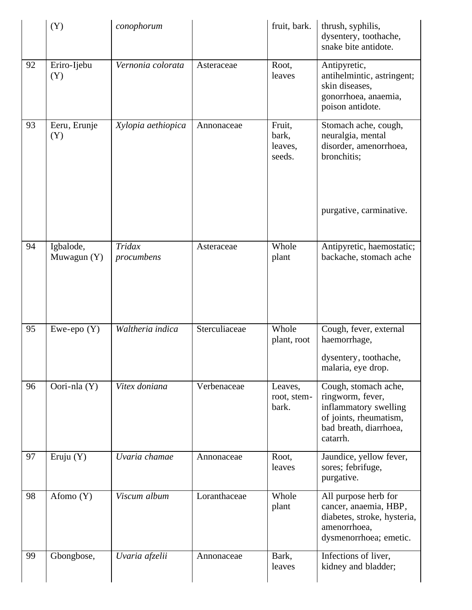|    | (Y)                      | conophorum           |               | fruit, bark.                         | thrush, syphilis,<br>dysentery, toothache,<br>snake bite antidote.                                                                |
|----|--------------------------|----------------------|---------------|--------------------------------------|-----------------------------------------------------------------------------------------------------------------------------------|
| 92 | Eriro-Ijebu<br>(Y)       | Vernonia colorata    | Asteraceae    | Root,<br>leaves                      | Antipyretic,<br>antihelmintic, astringent;<br>skin diseases,<br>gonorrhoea, anaemia,<br>poison antidote.                          |
| 93 | Eeru, Erunje<br>(Y)      | Xylopia aethiopica   | Annonaceae    | Fruit,<br>bark,<br>leaves,<br>seeds. | Stomach ache, cough,<br>neuralgia, mental<br>disorder, amenorrhoea,<br>bronchitis;                                                |
|    |                          |                      |               |                                      | purgative, carminative.                                                                                                           |
| 94 | Igbalode,<br>Muwagun (Y) | Tridax<br>procumbens | Asteraceae    | Whole<br>plant                       | Antipyretic, haemostatic;<br>backache, stomach ache                                                                               |
| 95 | Ewe-epo $(Y)$            | Waltheria indica     | Sterculiaceae | Whole<br>plant, root                 | Cough, fever, external<br>haemorrhage,<br>dysentery, toothache,<br>malaria, eye drop.                                             |
| 96 | Oori-nla (Y)             | Vitex doniana        | Verbenaceae   | Leaves,<br>root, stem-<br>bark.      | Cough, stomach ache,<br>ringworm, fever,<br>inflammatory swelling<br>of joints, rheumatism,<br>bad breath, diarrhoea,<br>catarrh. |
| 97 | Eruju $(Y)$              | Uvaria chamae        | Annonaceae    | Root,<br>leaves                      | Jaundice, yellow fever,<br>sores; febrifuge,<br>purgative.                                                                        |
| 98 | Afomo (Y)                | Viscum album         | Loranthaceae  | Whole<br>plant                       | All purpose herb for<br>cancer, anaemia, HBP,<br>diabetes, stroke, hysteria,<br>amenorrhoea,<br>dysmenorrhoea; emetic.            |
| 99 | Gbongbose,               | Uvaria afzelii       | Annonaceae    | Bark,<br>leaves                      | Infections of liver,<br>kidney and bladder;                                                                                       |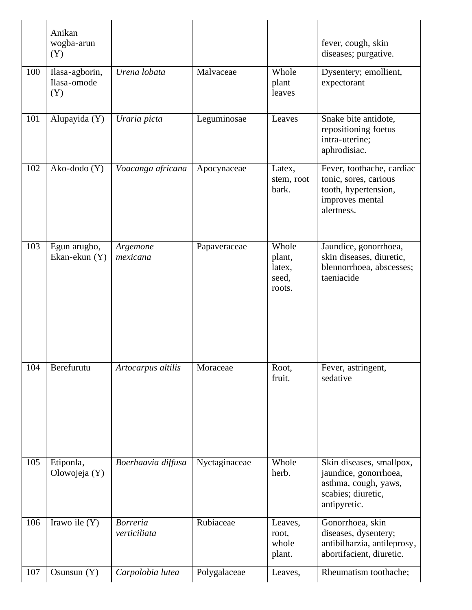|     | Anikan<br>wogba-arun<br>(Y)          |                                 |               |                                              | fever, cough, skin<br>diseases; purgative.                                                                      |
|-----|--------------------------------------|---------------------------------|---------------|----------------------------------------------|-----------------------------------------------------------------------------------------------------------------|
| 100 | Ilasa-agborin,<br>Ilasa-omode<br>(Y) | Urena lobata                    | Malvaceae     | Whole<br>plant<br>leaves                     | Dysentery; emollient,<br>expectorant                                                                            |
| 101 | Alupayida (Y)                        | Uraria picta                    | Leguminosae   | Leaves                                       | Snake bite antidote,<br>repositioning foetus<br>intra-uterine;<br>aphrodisiac.                                  |
| 102 | Ako-dodo (Y)                         | Voacanga africana               | Apocynaceae   | Latex,<br>stem, root<br>bark.                | Fever, toothache, cardiac<br>tonic, sores, carious<br>tooth, hypertension,<br>improves mental<br>alertness.     |
| 103 | Egun arugbo,<br>Ekan-ekun (Y)        | Argemone<br>mexicana            | Papaveraceae  | Whole<br>plant,<br>latex,<br>seed,<br>roots. | Jaundice, gonorrhoea,<br>skin diseases, diuretic,<br>blennorrhoea, abscesses;<br>taeniacide                     |
| 104 | Berefurutu                           | Artocarpus altilis              | Moraceae      | Root,<br>fruit.                              | Fever, astringent,<br>sedative                                                                                  |
| 105 | Etiponla,<br>Olowojeja (Y)           | Boerhaavia diffusa              | Nyctaginaceae | Whole<br>herb.                               | Skin diseases, smallpox,<br>jaundice, gonorrhoea,<br>asthma, cough, yaws,<br>scabies; diuretic,<br>antipyretic. |
| 106 | Irawo ile $(Y)$                      | <b>Borreria</b><br>verticiliata | Rubiaceae     | Leaves,<br>root,<br>whole<br>plant.          | Gonorrhoea, skin<br>diseases, dysentery;<br>antibilharzia, antileprosy,<br>abortifacient, diuretic.             |
| 107 | Osunsun $(Y)$                        | Carpolobia lutea                | Polygalaceae  | Leaves,                                      | Rheumatism toothache;                                                                                           |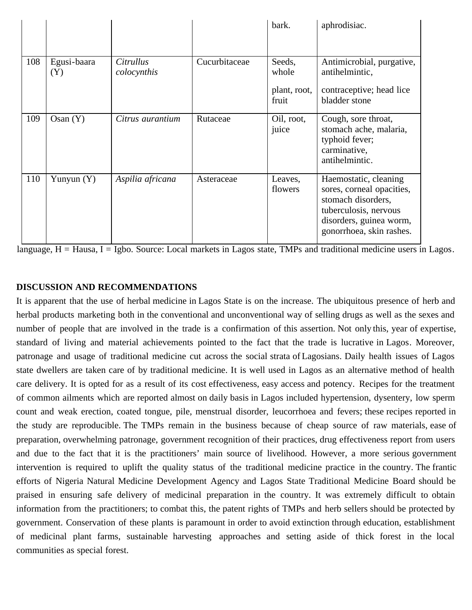|     |                    |                                 |               | bark.                                    | aphrodisiac.                                                                                                                                             |
|-----|--------------------|---------------------------------|---------------|------------------------------------------|----------------------------------------------------------------------------------------------------------------------------------------------------------|
| 108 | Egusi-baara<br>(Y) | <i>Citrullus</i><br>colocynthis | Cucurbitaceae | Seeds,<br>whole<br>plant, root,<br>fruit | Antimicrobial, purgative,<br>antihelmintic,<br>contraceptive; head lice<br>bladder stone                                                                 |
| 109 | Osan(Y)            | Citrus aurantium                | Rutaceae      | Oil, root,<br>juice                      | Cough, sore throat,<br>stomach ache, malaria,<br>typhoid fever;<br>carminative,<br>antihelmintic.                                                        |
| 110 | Yunyun $(Y)$       | Aspilia africana                | Asteraceae    | Leaves,<br>flowers                       | Haemostatic, cleaning<br>sores, corneal opacities,<br>stomach disorders,<br>tuberculosis, nervous<br>disorders, guinea worm,<br>gonorrhoea, skin rashes. |

 $\frac{1}{2}$  language, H = Hausa, I = Igbo. Source: Local markets in Lagos state, TMPs and traditional medicine users in Lagos.

# **DISCUSSION AND RECOMMENDATIONS**

It is apparent that the use of herbal medicine in Lagos State is on the increase. The ubiquitous presence of herb and herbal products marketing both in the conventional and unconventional way of selling drugs as well as the sexes and number of people that are involved in the trade is a confirmation of this assertion. Not only this, year of expertise, standard of living and material achievements pointed to the fact that the trade is lucrative in Lagos. Moreover, patronage and usage of traditional medicine cut across the social strata of Lagosians. Daily health issues of Lagos state dwellers are taken care of by traditional medicine. It is well used in Lagos as an alternative method of health care delivery. It is opted for as a result of its cost effectiveness, easy access and potency. Recipes for the treatment of common ailments which are reported almost on daily basis in Lagos included hypertension, dysentery, low sperm count and weak erection, coated tongue, pile, menstrual disorder, leucorrhoea and fevers; these recipes reported in the study are reproducible. The TMPs remain in the business because of cheap source of raw materials, ease of preparation, overwhelming patronage, government recognition of their practices, drug effectiveness report from users and due to the fact that it is the practitioners' main source of livelihood. However, a more serious government intervention is required to uplift the quality status of the traditional medicine practice in the country. The frantic efforts of Nigeria Natural Medicine Development Agency and Lagos State Traditional Medicine Board should be praised in ensuring safe delivery of medicinal preparation in the country. It was extremely difficult to obtain information from the practitioners; to combat this, the patent rights of TMPs and herb sellers should be protected by government. Conservation of these plants is paramount in order to avoid extinction through education, establishment of medicinal plant farms, sustainable harvesting approaches and setting aside of thick forest in the local communities as special forest.